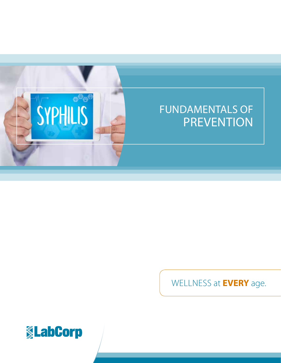

# FUNDAMENTALS OF PREVENTION

WELLNESS at **EVERY** age.

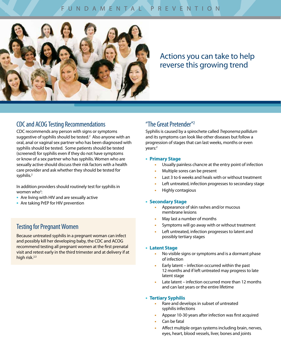# FUNDAMENTAL PREVENTION



# Actions you can take to help reverse this growing trend

# CDC and ACOG Testing Recommendations

CDC recommends any person with signs or symptoms suggestive of syphilis should be tested.<sup>2</sup> Also anyone with an oral, anal or vaginal sex partner who has been diagnosed with syphilis should be tested. Some patients should be tested (screened) for syphilis even if they do not have symptoms or know of a sex partner who has syphilis. Women who are sexually active should discuss their risk factors with a health care provider and ask whether they should be tested for syphilis.<sup>2</sup>

In addition providers should routinely test for syphilis in women who<sup>2</sup>:

- **•** Are living with HIV and are sexually active
- **•** Are taking PrEP for HIV prevention

# Testing for Pregnant Women

Because untreated syphilis in a pregnant woman can infect and possibly kill her developing baby, the CDC and ACOG recommend testing all pregnant women at the first prenatal visit and retest early in the third trimester and at delivery if at high risk.<sup>2,3</sup>

# "The Great Pretender"2

Syphilis is caused by a spirochete called *Treponema pallidum* and its symptoms can look like other diseases but follow a progression of stages that can last weeks, months or even years:<sup>2</sup>

#### **• Primary Stage**

- **•** Usually painless chancre at the entry point of infection
- **•** Multiple sores can be present
- **•** Last 3 to 6 weeks and heals with or without treatment
- **•** Left untreated, infection progresses to secondary stage
- **•** Highly contagious

#### **• Secondary Stage**

- **•** Appearance of skin rashes and/or mucous membrane lesions
- **•** May last a number of months
- **•** Symptoms will go away with or without treatment
- **•** Left untreated, infection progresses to latent and possibly tertiary stages

#### **• Latent Stage**

- **•** No visible signs or symptoms and is a dormant phase of infection
- **•** Early latent infection occurred within the past 12 months and if left untreated may progress to late latent stage
- **•** Late latent infection occurred more than 12 months and can last years or the entire lifetime

#### **• Tertiary Syphilis**

- **•** Rare and develops in subset of untreated syphilis infections
- **•** Appear 10-30 years after infection was first acquired
- **•** Can be fatal
- **•** Affect multiple organ systems including brain, nerves, eyes, heart, blood vessels, liver, bones and joints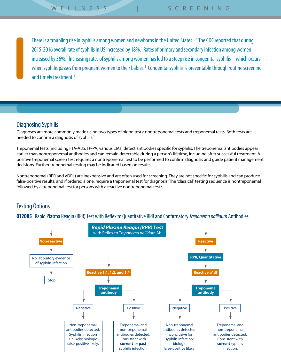There is a troubling rise in syphilis among women and newborns in the United States.<sup>1,2</sup> The CDC reported that during 2015-2016 overall rate of syphilis in US increased by 18%.<sup>1</sup> Rates of primary and secondary infection among women increased by 36%.<sup>1</sup> Increasing rates of syphilis among women has led to a steep rise in congenital syphilis – which occurs when syphilis passes from pregnant women to their babies.<sup>1</sup> Congenital syphilis is preventable through routine screening and timely treatment.<sup>1</sup>

# Diagnosing Syphilis

Diagnoses are more commonly made using two types of blood tests: nontreponemal tests and treponemal tests. Both tests are needed to confirm a diagnosis of syphilis.<sup>2</sup>

Treponemal tests (including FTA-ABS, TP-PA, various EIAs) detect antibodies specific for syphilis. The treponemal antibodies appear earlier than nontreponemal antibodies and can remain detectable during a person's lifetime, including after successful treatment. A positive treponemal screen test requires a nontreponemal test to be performed to confirm diagnosis and guide patient management decisions. Further treponemal testing may be indicated based on results.

Nontreponemal (RPR and VDRL) are inexpensive and are often used for screening. They are not specific for syphilis and can produce false-positive results, and if ordered alone, require a treponemal test for diagnosis. The "classical" testing sequence is nontreponemal followed by a treponemal test for persons with a reactive nontreponemal test.<sup>2</sup>

# Testing Options

**012005** Rapid Plasma Reagin (RPR) Test with Reflex to Quantitative RPR and Confirmatory *Treponema pallidum* Antibodies